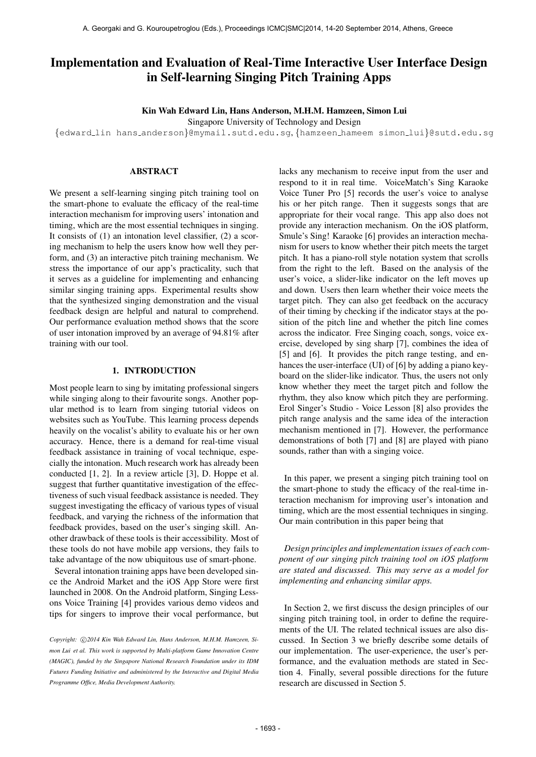# Implementation and Evaluation of Real-Time Interactive User Interface Design in Self-learning Singing Pitch Training Apps

Kin Wah Edward Lin, Hans Anderson, M.H.M. Hamzeen, Simon Lui

Singapore University of Technology and Design

{[edward](mailto:edward_lin@mymail.sutd.edu.sg) lin hans [anderson](mailto:hans_anderson@mymail.sutd.edu.sg)}@mymail.sutd.edu.sg, {[hamzeen](mailto:hamzeen_hameem@sutd.edu.sg) hameem [simon](mailto:simon_lui@sutd.edu.sg) lui}@sutd.edu.sg

## ABSTRACT

We present a self-learning singing pitch training tool on the smart-phone to evaluate the efficacy of the real-time interaction mechanism for improving users' intonation and timing, which are the most essential techniques in singing. It consists of (1) an intonation level classifier, (2) a scoring mechanism to help the users know how well they perform, and (3) an interactive pitch training mechanism. We stress the importance of our app's practicality, such that it serves as a guideline for implementing and enhancing similar singing training apps. Experimental results show that the synthesized singing demonstration and the visual feedback design are helpful and natural to comprehend. Our performance evaluation method shows that the score of user intonation improved by an average of 94.81% after training with our tool.

#### 1. INTRODUCTION

Most people learn to sing by imitating professional singers while singing along to their favourite songs. Another popular method is to learn from singing tutorial videos on websites such as YouTube. This learning process depends heavily on the vocalist's ability to evaluate his or her own accuracy. Hence, there is a demand for real-time visual feedback assistance in training of vocal technique, especially the intonation. Much research work has already been conducted [1, 2]. In a review article [3], D. Hoppe et al. suggest that further quantitative investigation of the effectiveness of such visual feedback assistance is needed. They suggest investigating the efficacy of various types of visual feedback, and varying the richness of the information that feedback provides, based on the user's singing skill. Another drawback of these tools is their accessibility. Most of these tools do not have mobile app versions, they fails to take advantage of the now ubiquitous use of smart-phone.

Several intonation training apps have been developed since the Android Market and the iOS App Store were first launched in 2008. On the Android platform, Singing Lessons Voice Training [4] provides various demo videos and tips for singers to improve their vocal performance, but lacks any mechanism to receive input from the user and respond to it in real time. VoiceMatch's Sing Karaoke Voice Tuner Pro [5] records the user's voice to analyse his or her pitch range. Then it suggests songs that are appropriate for their vocal range. This app also does not provide any interaction mechanism. On the iOS platform, Smule's Sing! Karaoke [6] provides an interaction mechanism for users to know whether their pitch meets the target pitch. It has a piano-roll style notation system that scrolls from the right to the left. Based on the analysis of the user's voice, a slider-like indicator on the left moves up and down. Users then learn whether their voice meets the target pitch. They can also get feedback on the accuracy of their timing by checking if the indicator stays at the position of the pitch line and whether the pitch line comes across the indicator. Free Singing coach, songs, voice exercise, developed by sing sharp [7], combines the idea of [5] and [6]. It provides the pitch range testing, and enhances the user-interface (UI) of [6] by adding a piano keyboard on the slider-like indicator. Thus, the users not only know whether they meet the target pitch and follow the rhythm, they also know which pitch they are performing. Erol Singer's Studio - Voice Lesson [8] also provides the pitch range analysis and the same idea of the interaction mechanism mentioned in [7]. However, the performance demonstrations of both [7] and [8] are played with piano sounds, rather than with a singing voice.

In this paper, we present a singing pitch training tool on the smart-phone to study the efficacy of the real-time interaction mechanism for improving user's intonation and timing, which are the most essential techniques in singing. Our main contribution in this paper being that

*Design principles and implementation issues of each component of our singing pitch training tool on iOS platform are stated and discussed. This may serve as a model for implementing and enhancing similar apps.*

In Section 2, we first discuss the design principles of our singing pitch training tool, in order to define the requirements of the UI. The related technical issues are also discussed. In Section 3 we briefly describe some details of our implementation. The user-experience, the user's performance, and the evaluation methods are stated in Section 4. Finally, several possible directions for the future research are discussed in Section 5.

Copyright:  $\bigcirc$ 2014 Kin Wah Edward Lin, Hans Anderson, M.H.M. Hamzeen, Si*mon Lui et al. This work is supported by Multi-platform Game Innovation Centre (MAGIC), funded by the Singapore National Research Foundation under its IDM Futures Funding Initiative and administered by the Interactive and Digital Media Programme Office, Media Development Authority.*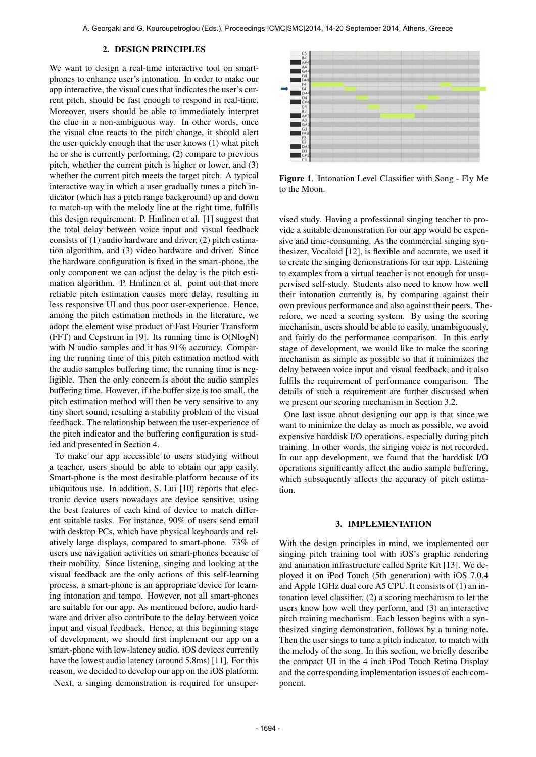#### 2. DESIGN PRINCIPLES

We want to design a real-time interactive tool on smartphones to enhance user's intonation. In order to make our app interactive, the visual cues that indicates the user's current pitch, should be fast enough to respond in real-time. Moreover, users should be able to immediately interpret the clue in a non-ambiguous way. In other words, once the visual clue reacts to the pitch change, it should alert the user quickly enough that the user knows (1) what pitch he or she is currently performing, (2) compare to previous pitch, whether the current pitch is higher or lower, and (3) whether the current pitch meets the target pitch. A typical interactive way in which a user gradually tunes a pitch indicator (which has a pitch range background) up and down to match-up with the melody line at the right time, fulfills this design requirement. P. Hmlinen et al. [1] suggest that the total delay between voice input and visual feedback consists of (1) audio hardware and driver, (2) pitch estimation algorithm, and (3) video hardware and driver. Since the hardware configuration is fixed in the smart-phone, the only component we can adjust the delay is the pitch estimation algorithm. P. Hmlinen et al. point out that more reliable pitch estimation causes more delay, resulting in less responsive UI and thus poor user-experience. Hence, among the pitch estimation methods in the literature, we adopt the element wise product of Fast Fourier Transform (FFT) and Cepstrum in [9]. Its running time is O(NlogN) with N audio samples and it has 91% accuracy. Comparing the running time of this pitch estimation method with the audio samples buffering time, the running time is negligible. Then the only concern is about the audio samples buffering time. However, if the buffer size is too small, the pitch estimation method will then be very sensitive to any tiny short sound, resulting a stability problem of the visual feedback. The relationship between the user-experience of the pitch indicator and the buffering configuration is studied and presented in Section 4.

To make our app accessible to users studying without a teacher, users should be able to obtain our app easily. Smart-phone is the most desirable platform because of its ubiquitous use. In addition, S. Lui [10] reports that electronic device users nowadays are device sensitive; using the best features of each kind of device to match different suitable tasks. For instance, 90% of users send email with desktop PCs, which have physical keyboards and relatively large displays, compared to smart-phone. 73% of users use navigation activities on smart-phones because of their mobility. Since listening, singing and looking at the visual feedback are the only actions of this self-learning process, a smart-phone is an appropriate device for learning intonation and tempo. However, not all smart-phones are suitable for our app. As mentioned before, audio hardware and driver also contribute to the delay between voice input and visual feedback. Hence, at this beginning stage of development, we should first implement our app on a smart-phone with low-latency audio. iOS devices currently have the lowest audio latency (around 5.8ms) [11]. For this reason, we decided to develop our app on the iOS platform. Next, a singing demonstration is required for unsuper-



Figure 1. Intonation Level Classifier with Song - Fly Me to the Moon.

vised study. Having a professional singing teacher to provide a suitable demonstration for our app would be expensive and time-consuming. As the commercial singing synthesizer, Vocaloid [12], is flexible and accurate, we used it to create the singing demonstrations for our app. Listening to examples from a virtual teacher is not enough for unsupervised self-study. Students also need to know how well their intonation currently is, by comparing against their own previous performance and also against their peers. Therefore, we need a scoring system. By using the scoring mechanism, users should be able to easily, unambiguously, and fairly do the performance comparison. In this early stage of development, we would like to make the scoring mechanism as simple as possible so that it minimizes the delay between voice input and visual feedback, and it also fulfils the requirement of performance comparison. The details of such a requirement are further discussed when we present our scoring mechanism in Section 3.2.

One last issue about designing our app is that since we want to minimize the delay as much as possible, we avoid expensive harddisk I/O operations, especially during pitch training. In other words, the singing voice is not recorded. In our app development, we found that the harddisk I/O operations significantly affect the audio sample buffering, which subsequently affects the accuracy of pitch estimation.

#### 3. IMPLEMENTATION

With the design principles in mind, we implemented our singing pitch training tool with iOS's graphic rendering and animation infrastructure called Sprite Kit [13]. We deployed it on iPod Touch (5th generation) with iOS 7.0.4 and Apple 1GHz dual core A5 CPU. It consists of (1) an intonation level classifier, (2) a scoring mechanism to let the users know how well they perform, and (3) an interactive pitch training mechanism. Each lesson begins with a synthesized singing demonstration, follows by a tuning note. Then the user sings to tune a pitch indicator, to match with the melody of the song. In this section, we briefly describe the compact UI in the 4 inch iPod Touch Retina Display and the corresponding implementation issues of each component.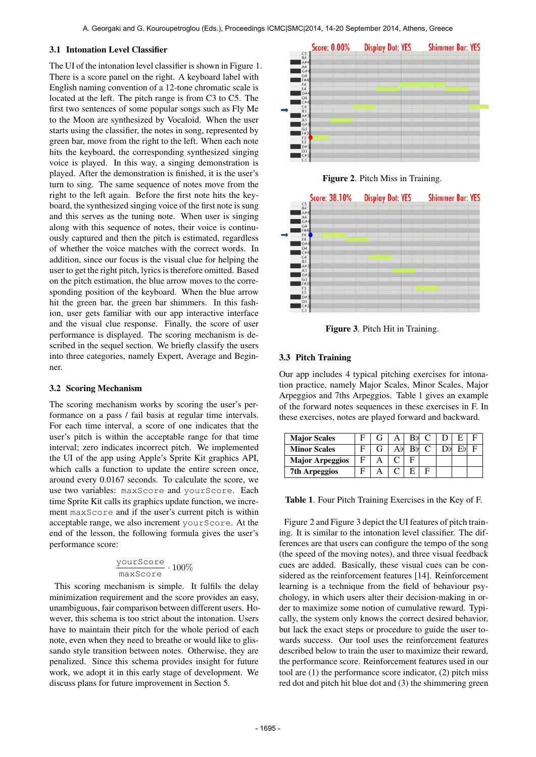## 3.1 Intonation Level Classifier

The UI of the intonation level classifier is shown in Figure 1. There is a score panel on the right. A keyboard label with English naming convention of a 12-tone chromatic scale is located at the left. The pitch range is from C3 to C5. The first two sentences of some popular songs such as Fly Me to the Moon are synthesized by Vocaloid. When the user starts using the classifier, the notes in song, represented by green bar, move from the right to the left. When each note hits the keyboard, the corresponding synthesized singing voice is played. In this way, a singing demonstration is played. After the demonstration is finished, it is the user's turn to sing. The same sequence of notes move from the right to the left again. Before the first note hits the keyboard, the synthesized singing voice of the first note is sung and this serves as the tuning note. When user is singing along with this sequence of notes, their voice is continuously captured and then the pitch is estimated, regardless of whether the voice matches with the correct words. In addition, since our focus is the visual clue for helping the user to get the right pitch, lyrics is therefore omitted. Based on the pitch estimation, the blue arrow moves to the corresponding position of the keyboard. When the blue arrow hit the green bar, the green bar shimmers. In this fashion, user gets familiar with our app interactive interface and the visual clue response. Finally, the score of user performance is displayed. The scoring mechanism is described in the sequel section. We briefly classify the users into three categories, namely Expert, Average and Beginner.

## 3.2 Scoring Mechanism

The scoring mechanism works by scoring the user's performance on a pass / fail basis at regular time intervals. For each time interval, a score of one indicates that the user's pitch is within the acceptable range for that time interval; zero indicates incorrect pitch. We implemented the UI of the app using Apple's Sprite Kit graphics API, which calls a function to update the entire screen once, around every 0.0167 seconds. To calculate the score, we use two variables: maxScore and yourScore. Each time Sprite Kit calls its graphics update function, we increment maxScore and if the user's current pitch is within acceptable range, we also increment yourScore. At the end of the lesson, the following formula gives the user's performance score:

$$
\frac{\text{yourScore}}{\text{maxScore}} \cdot 100\%
$$

This scoring mechanism is simple. It fulfils the delay minimization requirement and the score provides an easy, unambiguous, fair comparison between different users. However, this schema is too strict about the intonation. Users have to maintain their pitch for the whole period of each note, even when they need to breathe or would like to glissando style transition between notes. Otherwise, they are penalized. Since this schema provides insight for future work, we adopt it in this early stage of development. We discuss plans for future improvement in Section 5.



Figure 2. Pitch Miss in Training.



Figure 3. Pitch Hit in Training.

# 3.3 Pitch Training

Our app includes 4 typical pitching exercises for intonation practice, namely Major Scales, Minor Scales, Major Arpeggios and 7ths Arpeggios. Table 1 gives an example of the forward notes sequences in these exercises in F. In these exercises, notes are played forward and backward.

| <b>Major Scales</b>    |  |    | $Rb$ C |  |  |
|------------------------|--|----|--------|--|--|
| <b>Minor Scales</b>    |  | RЫ |        |  |  |
| <b>Major Arpeggios</b> |  |    |        |  |  |
| <b>7th Arpeggios</b>   |  |    |        |  |  |

Table 1. Four Pitch Training Exercises in the Key of F.

Figure 2 and Figure 3 depict the UI features of pitch training. It is similar to the intonation level classifier. The differences are that users can configure the tempo of the song (the speed of the moving notes), and three visual feedback cues are added. Basically, these visual cues can be considered as the reinforcement features [14]. Reinforcement learning is a technique from the field of behaviour psychology, in which users alter their decision-making in order to maximize some notion of cumulative reward. Typically, the system only knows the correct desired behavior, but lack the exact steps or procedure to guide the user towards success. Our tool uses the reinforcement features described below to train the user to maximize their reward, the performance score. Reinforcement features used in our tool are (1) the performance score indicator, (2) pitch miss red dot and pitch hit blue dot and (3) the shimmering green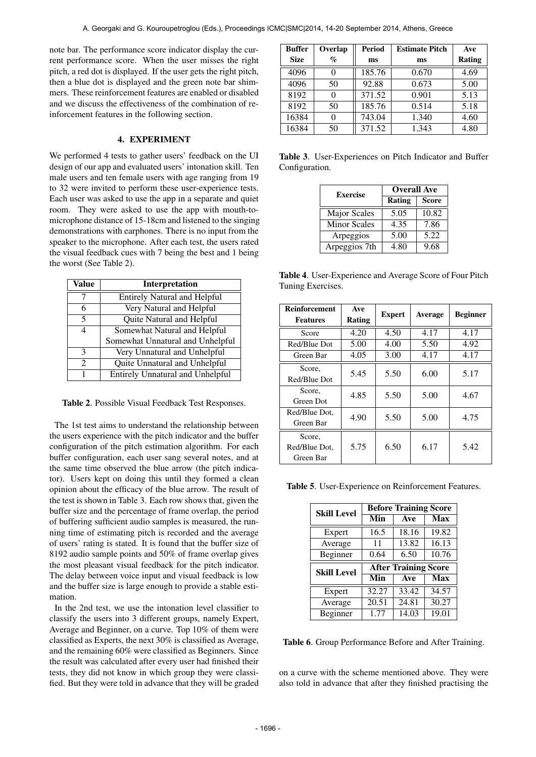note bar. The performance score indicator display the current performance score. When the user misses the right pitch, a red dot is displayed. If the user gets the right pitch, then a blue dot is displayed and the green note bar shimmers. These reinforcement features are enabled or disabled and we discuss the effectiveness of the combination of reinforcement features in the following section.

#### 4. EXPERIMENT

We performed 4 tests to gather users' feedback on the UI design of our app and evaluated users' intonation skill. Ten male users and ten female users with age ranging from 19 to 32 were invited to perform these user-experience tests. Each user was asked to use the app in a separate and quiet room. They were asked to use the app with mouth-tomicrophone distance of 15-18cm and listened to the singing demonstrations with earphones. There is no input from the speaker to the microphone. After each test, the users rated the visual feedback cues with 7 being the best and 1 being the worst (See Table 2).

| Value                       | Interpretation                          |
|-----------------------------|-----------------------------------------|
|                             | <b>Entirely Natural and Helpful</b>     |
| 6                           | Very Natural and Helpful                |
| 5                           | Quite Natural and Helpful               |
| 4                           | Somewhat Natural and Helpful            |
|                             | Somewhat Unnatural and Unhelpful        |
| $\mathcal{R}$               | Very Unnatural and Unhelpful            |
| $\mathcal{D}_{\mathcal{L}}$ | Quite Unnatural and Unhelpful           |
| 1                           | <b>Entirely Unnatural and Unhelpful</b> |

Table 2. Possible Visual Feedback Test Responses.

The 1st test aims to understand the relationship between the users experience with the pitch indicator and the buffer configuration of the pitch estimation algorithm. For each buffer configuration, each user sang several notes, and at the same time observed the blue arrow (the pitch indicator). Users kept on doing this until they formed a clean opinion about the efficacy of the blue arrow. The result of the test is shown in Table 3. Each row shows that, given the buffer size and the percentage of frame overlap, the period of buffering sufficient audio samples is measured, the running time of estimating pitch is recorded and the average of users' rating is stated. It is found that the buffer size of 8192 audio sample points and 50% of frame overlap gives the most pleasant visual feedback for the pitch indicator. The delay between voice input and visual feedback is low and the buffer size is large enough to provide a stable estimation.

In the 2nd test, we use the intonation level classifier to classify the users into 3 different groups, namely Expert, Average and Beginner, on a curve. Top 10% of them were classified as Experts, the next 30% is classified as Average, and the remaining 60% were classified as Beginners. Since the result was calculated after every user had finished their tests, they did not know in which group they were classified. But they were told in advance that they will be graded

| <b>Buffer</b> | Overlap | <b>Period</b> | <b>Estimate Pitch</b> | Ave           |
|---------------|---------|---------------|-----------------------|---------------|
| <b>Size</b>   | $\%$    | ms            | ms                    | <b>Rating</b> |
| 4096          |         | 185.76        | 0.670                 | 4.69          |
| 4096          | 50      | 92.88         | 0.673                 | 5.00          |
| 8192          |         | 371.52        | 0.901                 | 5.13          |
| 8192          | 50      | 185.76        | 0.514                 | 5.18          |
| 16384         |         | 743.04        | 1.340                 | 4.60          |
| 16384         | 50      | 371.52        | 1.343                 | 4.80          |

Table 3. User-Experiences on Pitch Indicator and Buffer Configuration.

| <b>Exercise</b>     | <b>Overall Ave</b> |              |  |
|---------------------|--------------------|--------------|--|
|                     | Rating             | <b>Score</b> |  |
| <b>Major Scales</b> | 5.05               | 10.82        |  |
| <b>Minor Scales</b> | 4.35               | 7.86         |  |
| Arpeggios           | 5.00               | 5.22         |  |
| Arpeggios 7th       | 4.80               | 9.68         |  |

Table 4. User-Experience and Average Score of Four Pitch Tuning Exercises.

| <b>Reinforcement</b><br><b>Features</b> | Ave<br>Rating | <b>Expert</b> | Average | <b>Beginner</b> |
|-----------------------------------------|---------------|---------------|---------|-----------------|
| Score                                   | 4.20          | 4.50          | 4.17    | 4.17            |
| Red/Blue Dot                            | 5.00          | 4.00          | 5.50    | 4.92            |
| Green Bar                               | 4.05          | 3.00          | 4.17    | 4.17            |
| Score,<br>Red/Blue Dot                  | 5.45          | 5.50          | 6.00    | 5.17            |
| Score,<br>Green Dot                     | 4.85          | 5.50          | 5.00    | 4.67            |
| Red/Blue Dot.<br>Green Bar              | 4.90          | 5.50          | 5.00    | 4.75            |
| Score,<br>Red/Blue Dot.<br>Green Bar    | 5.75          | 6.50          | 6.17    | 5.42            |

Table 5. User-Experience on Reinforcement Features.

| <b>Skill Level</b> | <b>Before Training Score</b> |                             |            |  |
|--------------------|------------------------------|-----------------------------|------------|--|
|                    | Min                          | Ave                         | <b>Max</b> |  |
| Expert             | 16.5                         | 18.16                       | 19.82      |  |
| Average            | 11                           | 13.82                       | 16.13      |  |
| Beginner           | 0.64                         | 6.50                        | 10.76      |  |
|                    |                              |                             |            |  |
|                    |                              | <b>After Training Score</b> |            |  |
| <b>Skill Level</b> | Min                          | Ave                         | <b>Max</b> |  |
| Expert             | 32.27                        | 33.42                       | 34.57      |  |
| Average            | 20.51                        | 24.81                       | 30.27      |  |

Table 6. Group Performance Before and After Training.

on a curve with the scheme mentioned above. They were also told in advance that after they finished practising the